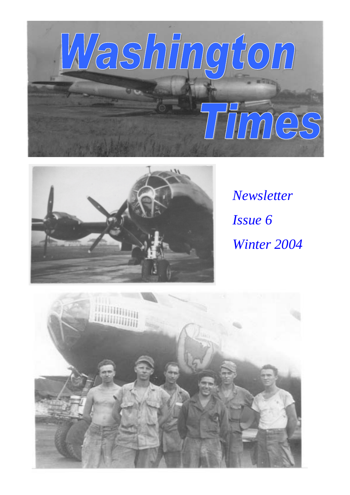



*Newsletter Issue 6 Winter 2004* 

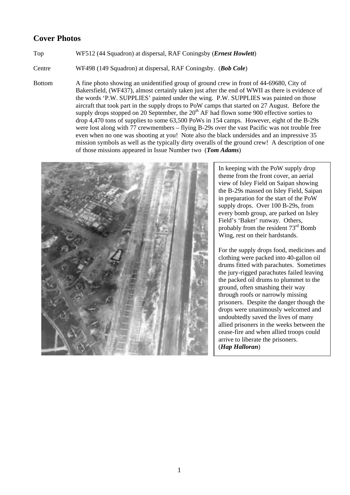# **Cover Photos**

## Top WF512 (44 Squadron) at dispersal, RAF Coningsby (*Ernest Howlett*)

Centre WF498 (149 Squadron) at dispersal, RAF Coningsby. (*Bob Cole*)

Bottom A fine photo showing an unidentified group of ground crew in front of 44-69680, City of Bakersfield, (WF437), almost certainly taken just after the end of WWII as there is evidence of the words 'P.W. SUPPLIES' painted under the wing. P.W. SUPPLIES was painted on those aircraft that took part in the supply drops to PoW camps that started on 27 August. Before the supply drops stopped on 20 September, the  $20<sup>th</sup>$  AF had flown some 900 effective sorties to drop 4,470 tons of supplies to some 63,500 PoWs in 154 camps. However, eight of the B-29s were lost along with  $\overline{77}$  crewmembers – flying B-29s over the vast Pacific was not trouble free even when no one was shooting at you! Note also the black undersides and an impressive 35 mission symbols as well as the typically dirty overalls of the ground crew! A description of one of those missions appeared in Issue Number two (*Tom Adams*)



In keeping with the PoW supply drop theme from the front cover, an aerial view of Isley Field on Saipan showing the B-29s massed on Isley Field, Saipan in preparation for the start of the PoW supply drops. Over 100 B-29s, from every bomb group, are parked on Isley Field's 'Baker' runway. Others, probably from the resident 73rd Bomb Wing, rest on their hardstands.

For the supply drops food, medicines and clothing were packed into 40-gallon oil drums fitted with parachutes. Sometimes the jury-rigged parachutes failed leaving the packed oil drums to plummet to the ground, often smashing their way through roofs or narrowly missing prisoners. Despite the danger though the drops were unanimously welcomed and undoubtedly saved the lives of many allied prisoners in the weeks between the cease-fire and when allied troops could arrive to liberate the prisoners. (*Hap Halloran*)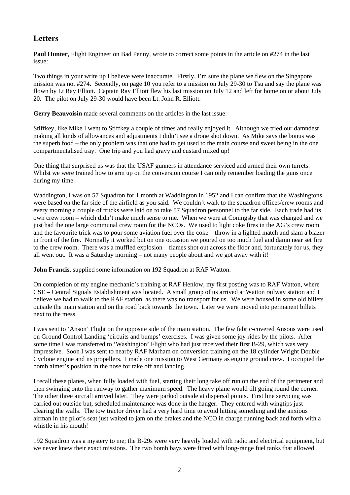# **Letters**

**Paul Hunter**, Flight Engineer on Bad Penny, wrote to correct some points in the article on #274 in the last issue:

Two things in your write up I believe were inaccurate. Firstly, I'm sure the plane we flew on the Singapore mission was not #274. Secondly, on page 10 you refer to a mission on July 29-30 to Tsu and say the plane was flown by Lt Ray Elliott. Captain Ray Elliott flew his last mission on July 12 and left for home on or about July 20. The pilot on July 29-30 would have been Lt. John R. Elliott.

**Gerry Beauvoisin** made several comments on the articles in the last issue:

Stiffkey, like Mike I went to Stiffkey a couple of times and really enjoyed it. Although we tried our damndest – making all kinds of allowances and adjustments I didn't see a drone shot down. As Mike says the bonus was the superb food – the only problem was that one had to get used to the main course and sweet being in the one compartmentalised tray. One trip and you had gravy and custard mixed up!

One thing that surprised us was that the USAF gunners in attendance serviced and armed their own turrets. Whilst we were trained how to arm up on the conversion course I can only remember loading the guns once during my time.

Waddington, I was on 57 Squadron for 1 month at Waddington in 1952 and I can confirm that the Washingtons were based on the far side of the airfield as you said. We couldn't walk to the squadron offices/crew rooms and every morning a couple of trucks were laid on to take 57 Squadron personnel to the far side. Each trade had its own crew room – which didn't make much sense to me. When we were at Coningsby that was changed and we just had the one large communal crew room for the NCOs. We used to light coke fires in the AG's crew room and the favourite trick was to pour some aviation fuel over the coke – throw in a lighted match and slam a blazer in front of the fire. Normally it worked but on one occasion we poured on too much fuel and damn near set fire to the crew room. There was a muffled explosion – flames shot out across the floor and, fortunately for us, they all went out. It was a Saturday morning – not many people about and we got away with it!

**John Francis**, supplied some information on 192 Squadron at RAF Watton:

On completion of my engine mechanic's training at RAF Henlow, my first posting was to RAF Watton, where CSE – Central Signals Establishment was located. A small group of us arrived at Watton railway station and I believe we had to walk to the RAF station, as there was no transport for us. We were housed in some old billets outside the main station and on the road back towards the town. Later we were moved into permanent billets next to the mess.

I was sent to 'Anson' Flight on the opposite side of the main station. The few fabric-covered Ansons were used on Ground Control Landing 'circuits and bumps' exercises. I was given some joy rides by the pilots. After some time I was transferred to 'Washington' Flight who had just received their first B-29, which was very impressive. Soon I was sent to nearby RAF Marham on conversion training on the 18 cylinder Wright Double Cyclone engine and its propellers. I made one mission to West Germany as engine ground crew. I occupied the bomb aimer's position in the nose for take off and landing.

I recall these planes, when fully loaded with fuel, starting their long take off run on the end of the perimeter and then swinging onto the runway to gather maximum speed. The heavy plane would tilt going round the corner. The other three aircraft arrived later. They were parked outside at dispersal points. First line servicing was carried out outside but, scheduled maintenance was done in the hanger. They entered with wingtips just clearing the walls. The tow tractor driver had a very hard time to avoid hitting something and the anxious airman in the pilot's seat just waited to jam on the brakes and the NCO in charge running back and forth with a whistle in his mouth!

192 Squadron was a mystery to me; the B-29s were very heavily loaded with radio and electrical equipment, but we never knew their exact missions. The two bomb bays were fitted with long-range fuel tanks that allowed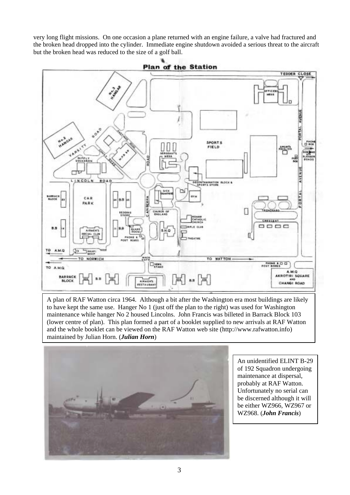very long flight missions. On one occasion a plane returned with an engine failure, a valve had fractured and the broken head dropped into the cylinder. Immediate engine shutdown avoided a serious threat to the aircraft but the broken head was reduced to the size of a golf ball.



A plan of RAF Watton circa 1964. Although a bit after the Washington era most buildings are likely to have kept the same use. Hanger No 1 (just off the plan to the right) was used for Washington maintenance while hanger No 2 housed Lincolns. John Francis was billeted in Barrack Block 103 (lower centre of plan). This plan formed a part of a booklet supplied to new arrivals at RAF Watton and the whole booklet can be viewed on the RAF Watton web site (http://www.rafwatton.info) maintained by Julian Horn. (*Julian Horn*)



An unidentified ELINT B-29 of 192 Squadron undergoing maintenance at dispersal, probably at RAF Watton. Unfortunately no serial can be discerned although it will be either WZ966, WZ967 or WZ968. (*John Francis*)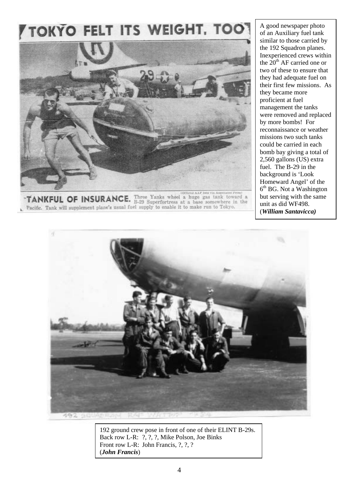# **TOKYO FELT ITS WEIGHT. TOO**



**TANKFUL OF INSURANCE.** Three Yanks wheel a huge gas tank toward a **TANKFUL OF INSURANCE.** B-29 Superfortress at a base somewhere in the Pacific. Tank will supplement plane's usual fuel supply to enable it to make run to Tokyo.

A good newspaper photo of an Auxiliary fuel tank similar to those carried by the 192 Squadron planes. Inexperienced crews within the  $20<sup>th</sup>$  AF carried one or two of these to ensure that they had adequate fuel on their first few missions. As they became more proficient at fuel management the tanks were removed and replaced by more bombs! For reconnaissance or weather missions two such tanks could be carried in each bomb bay giving a total of 2,560 gallons (US) extra fuel. The B-29 in the background is 'Look Homeward Angel' of the  $6<sup>th</sup>$  BG. Not a Washington but serving with the same unit as did WF498. (*William Santavicca)* 



192 ground crew pose in front of one of their ELINT B-29s. Back row L-R: ?, ?, ?, Mike Polson, Joe Binks Front row L-R: John Francis, ?, ?, ? (*John Francis*)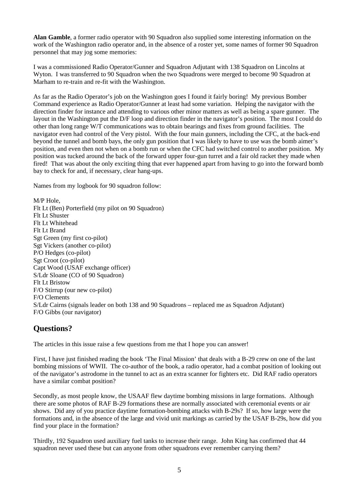**Alan Gamble**, a former radio operator with 90 Squadron also supplied some interesting information on the work of the Washington radio operator and, in the absence of a roster yet, some names of former 90 Squadron personnel that may jog some memories:

I was a commissioned Radio Operator/Gunner and Squadron Adjutant with 138 Squadron on Lincolns at Wyton. I was transferred to 90 Squadron when the two Squadrons were merged to become 90 Squadron at Marham to re-train and re-fit with the Washington.

As far as the Radio Operator's job on the Washington goes I found it fairly boring! My previous Bomber Command experience as Radio Operator/Gunner at least had some variation. Helping the navigator with the direction finder for instance and attending to various other minor matters as well as being a spare gunner. The layout in the Washington put the D/F loop and direction finder in the navigator's position. The most I could do other than long range W/T communications was to obtain bearings and fixes from ground facilities. The navigator even had control of the Very pistol. With the four main gunners, including the CFC, at the back-end beyond the tunnel and bomb bays, the only gun position that I was likely to have to use was the bomb aimer's position, and even then not when on a bomb run or when the CFC had switched control to another position. My position was tucked around the back of the forward upper four-gun turret and a fair old racket they made when fired! That was about the only exciting thing that ever happened apart from having to go into the forward bomb bay to check for and, if necessary, clear hang-ups.

Names from my logbook for 90 squadron follow:

M/P Hole, Flt Lt (Ben) Porterfield (my pilot on 90 Squadron) Flt Lt Shuster Flt Lt Whitehead Flt Lt Brand Sgt Green (my first co-pilot) Sgt Vickers (another co-pilot) P/O Hedges (co-pilot) Sgt Croot (co-pilot) Capt Wood (USAF exchange officer) S/Ldr Sloane (CO of 90 Squadron) Flt Lt Bristow F/O Stirrup (our new co-pilot) F/O Clements S/Ldr Cairns (signals leader on both 138 and 90 Squadrons – replaced me as Squadron Adjutant) F/O Gibbs (our navigator)

# **Questions?**

The articles in this issue raise a few questions from me that I hope you can answer!

First, I have just finished reading the book 'The Final Mission' that deals with a B-29 crew on one of the last bombing missions of WWII. The co-author of the book, a radio operator, had a combat position of looking out of the navigator's astrodome in the tunnel to act as an extra scanner for fighters etc. Did RAF radio operators have a similar combat position?

Secondly, as most people know, the USAAF flew daytime bombing missions in large formations. Although there are some photos of RAF B-29 formations these are normally associated with ceremonial events or air shows. Did any of you practice daytime formation-bombing attacks with B-29s? If so, how large were the formations and, in the absence of the large and vivid unit markings as carried by the USAF B-29s, how did you find your place in the formation?

Thirdly, 192 Squadron used auxiliary fuel tanks to increase their range. John King has confirmed that 44 squadron never used these but can anyone from other squadrons ever remember carrying them?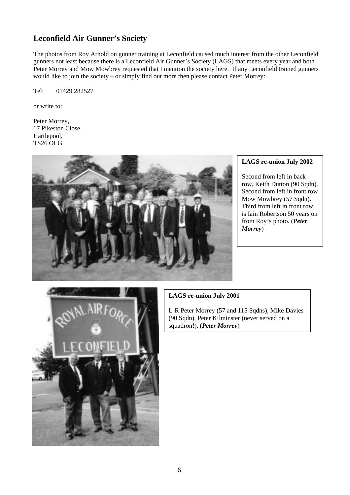# **Leconfield Air Gunner's Society**

The photos from Roy Arnold on gunner training at Leconfield caused much interest from the other Leconfield gunners not least because there is a Leconfield Air Gunner's Society (LAGS) that meets every year and both Peter Morrey and Mow Mowbrey requested that I mention the society here. If any Leconfield trained gunners would like to join the society – or simply find out more then please contact Peter Morrey:

Tel: 01429 282527

or write to:

Peter Morrey, 17 Pikeston Close, Hartlepool, TS26 OLG



## **LAGS re-union July 2002**

Second from left in back row, Keith Dutton (90 Sqdn). Second from left in front row Mow Mowbrey (57 Sqdn). Third from left in front row is Iain Robertson 50 years on from Roy's photo. (*Peter Morrey*)



## **LAGS re-union July 2001**

L-R Peter Morrey (57 and 115 Sqdns), Mike Davies (90 Sqdn), Peter Kilminster (never served on a squadron!). (*Peter Morrey*)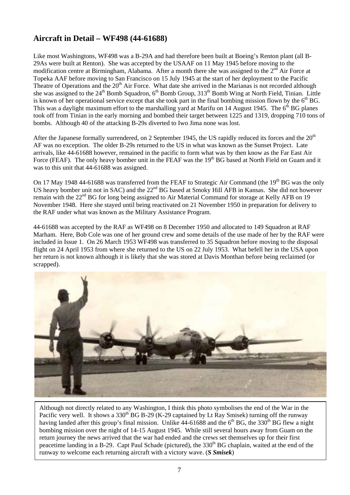# **Aircraft in Detail – WF498 (44-61688)**

Like most Washingtons, WF498 was a B-29A and had therefore been built at Boeing's Renton plant (all B-29As were built at Renton). She was accepted by the USAAF on 11 May 1945 before moving to the modification centre at Birmingham, Alabama. After a month there she was assigned to the 2<sup>nd</sup> Air Force at Topeka AAF before moving to San Francisco on 15 July 1945 at the start of her deployment to the Pacific Theatre of Operations and the 20<sup>th</sup> Air Force. What date she arrived in the Marianas is not recorded although she was assigned to the 24<sup>th</sup> Bomb Squadron, 6<sup>th</sup> Bomb Group, 313<sup>th</sup> Bomb Wing at North Field, Tinian. Little is known of her operational service except that she took part in the final bombing mission flown by the  $6<sup>th</sup> BG$ . This was a daylight maximum effort to the marshalling yard at Marifu on 14 August 1945. The  $6<sup>th</sup>$  BG planes took off from Tinian in the early morning and bombed their target between 1225 and 1319, dropping 710 tons of bombs. Although 40 of the attacking B-29s diverted to Iwo Jima none was lost.

After the Japanese formally surrendered, on 2 September 1945, the US rapidly reduced its forces and the  $20<sup>th</sup>$ AF was no exception. The older B-29s returned to the US in what was known as the Sunset Project. Late arrivals, like 44-61688 however, remained in the pacific to form what was by then know as the Far East Air Force (FEAF). The only heavy bomber unit in the FEAF was the 19<sup>th</sup> BG based at North Field on Guam and it was to this unit that 44-61688 was assigned.

On 17 May 1948 44-61688 was transferred from the FEAF to Strategic Air Command (the 19<sup>th</sup> BG was the only US heavy bomber unit not in SAC) and the  $22<sup>nd</sup>$  BG based at Smoky Hill AFB in Kansas. She did not however remain with the 22<sup>nd</sup> BG for long being assigned to Air Material Command for storage at Kelly AFB on 19 November 1948. Here she stayed until being reactivated on 21 November 1950 in preparation for delivery to the RAF under what was known as the Military Assistance Program.

44-61688 was accepted by the RAF as WF498 on 8 December 1950 and allocated to 149 Squadron at RAF Marham. Here, Bob Cole was one of her ground crew and some details of the use made of her by the RAF were included in Issue 1. On 26 March 1953 WF498 was transferred to 35 Squadron before moving to the disposal flight on 24 April 1953 from where she returned to the US on 22 July 1953. What befell her in the USA upon her return is not known although it is likely that she was stored at Davis Monthan before being reclaimed (or scrapped).



Although not directly related to any Washington, I think this photo symbolises the end of the War in the Pacific very well. It shows a 330<sup>th</sup> BG B-29 (K-29 captained by Lt Ray Smisek) turning off the runway having landed after this group's final mission. Unlike  $44-61688$  and the  $6<sup>th</sup> BG$ , the 330<sup>th</sup> BG flew a night bombing mission over the night of 14-15 August 1945. While still several hours away from Guam on the return journey the news arrived that the war had ended and the crews set themselves up for their first peacetime landing in a B-29. Capt Paul Schade (pictured), the 330<sup>th</sup> BG chaplain, waited at the end of the runway to welcome each returning aircraft with a victory wave. (*S Smisek*)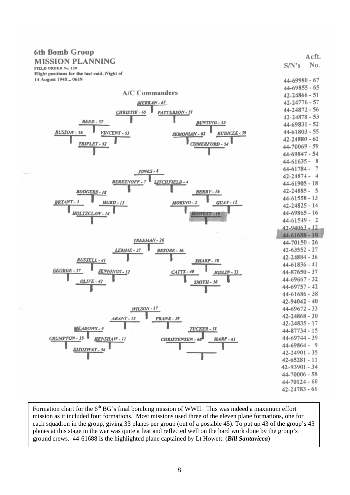| 6th Bomb Group                                                              |                                        |       |
|-----------------------------------------------------------------------------|----------------------------------------|-------|
| <b>MISSION PLANNING</b>                                                     |                                        | Acft. |
| FIELD ORDER No. 120                                                         | S/N's                                  | No.   |
| Flight positions for the last raid, Night of                                |                                        |       |
| 14 August 1945 0619                                                         | 44-69980 - 67                          |       |
| <b>A/C Commanders</b>                                                       | $44 - 69855 - 65$                      |       |
|                                                                             | $42 - 24866 - 51$<br>$42 - 24776 - 57$ |       |
| <b>BIERKAN-67</b>                                                           | $44 - 24872 - 56$                      |       |
| CHRISTIE - 65<br>PATTERSON - SI                                             | $42 - 24878 - 53$                      |       |
| REED - 57<br><b>BUNTING - 55</b>                                            | 44-69831 - 52                          |       |
| $RUSSOW-56$                                                                 | $44 - 61803 - 55$                      |       |
| VINCENT - 53<br><b>KUBICEK-39</b><br>SEMONIAN - 62                          | $42 - 24880 - 62$                      |       |
| <b>COMERFORD - 54</b><br><b>TRIPLET - 52</b>                                | 44-70069 - 59                          |       |
|                                                                             | 44-69847 - 54                          |       |
|                                                                             | $44 - 61635 - 8$                       |       |
|                                                                             | $44 - 61784 -$                         | -7    |
| $JONES -$                                                                   | $42 - 24874 - 4$                       |       |
| <b>BEREZNOFF-7</b><br>LITCHFIELD-4                                          | $44 - 61905 - 18$                      |       |
| <b>RODGERS-18</b><br><b>RERRY-16</b>                                        | $42 - 24885 - 5$                       |       |
|                                                                             | $44 - 61558 - 13$                      |       |
| <b>BRYANT-5</b><br><b>HURD-13</b><br>MORINO-2<br>$GUAY-12$                  | $42 - 24825 - 14$                      |       |
| HOLTZCLAW-14<br><b>HOWEIT-10</b>                                            | $44 - 69865 - 16$                      |       |
|                                                                             | $44 - 61549 - 2$                       |       |
|                                                                             | 42-94063 - 12                          |       |
|                                                                             | $44 - 61688 - 10$                      |       |
| TREEMAN-26                                                                  | $44 - 70150 - 26$                      |       |
| LEMME - 27<br><b>BESORE - 36</b>                                            | $42 - 63552 - 27$                      |       |
| RUSSELL - 41                                                                | $42 - 24884 - 36$                      |       |
| <b>SHARP - 38</b>                                                           | $44 - 61836 - 41$                      |       |
| $GEORGE - 37$<br>JENNINGS - 32<br>CATTS - 40<br>JOSLIN - 33                 | 44-87650 - 37                          |       |
| $OLIVE - 42$<br><b>SMITH - 30</b>                                           | $44 - 69667 - 32$                      |       |
|                                                                             | $44 - 69757 - 42$                      |       |
|                                                                             | 44-61686 - 38                          |       |
|                                                                             | $42 - 94042 - 40$                      |       |
| <b>WILSON - 17</b>                                                          | $44 - 69672 - 33$                      |       |
| ARANT-15<br>FRANK - 39                                                      | 42-24868 - 30                          |       |
|                                                                             | $42 - 24835 - 17$                      |       |
| MEADOWS-9<br><b>TUCKER - 58</b>                                             | 44-87734 - 15                          |       |
| CRUMPTON-35<br><b>HENSHAW-11</b><br><b>HARP-61</b><br><b>CHRISTENSEN-60</b> | 44-69744 - 39                          |       |
| DISOSWAY - 34                                                               | $44 - 69864 - 9$                       |       |
|                                                                             | $42 - 24901 - 35$                      |       |
|                                                                             | $42 - 65281 - 11$                      |       |
|                                                                             | 42-93901 - 34                          |       |
|                                                                             | 44-70006 - 58                          |       |
|                                                                             | $44 - 70124 - 60$                      |       |
|                                                                             | $42 - 24783 - 61$                      |       |
|                                                                             |                                        |       |

Formation chart for the 6<sup>th</sup> BG's final bombing mission of WWII. This was indeed a maximum effort mission as it included four formations. Most missions used three of the eleven plane formations, one for each squadron in the group, giving 33 planes per group (out of a possible 45). To put up 43 of the group's 45 planes at this stage in the war was quite a feat and reflected well on the hard work done by the group's ground crews. 44-61688 is the highlighted plane captained by Lt Howett. (*Bill Santavicca*)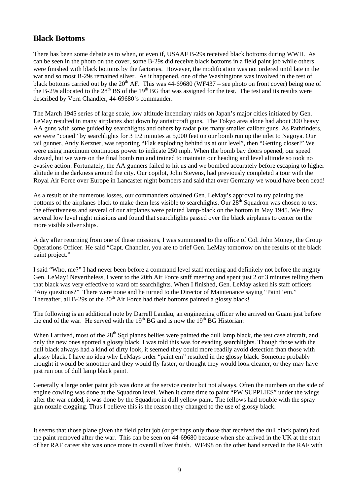## **Black Bottoms**

There has been some debate as to when, or even if, USAAF B-29s received black bottoms during WWII. As can be seen in the photo on the cover, some B-29s did receive black bottoms in a field paint job while others were finished with black bottoms by the factories. However, the modification was not ordered until late in the war and so most B-29s remained silver. As it happened, one of the Washingtons was involved in the test of black bottoms carried out by the  $20^{th}$  AF. This was 44-69680 (WF437 – see photo on front cover) being one of the B-29s allocated to the  $28<sup>th</sup> BS$  of the 19<sup>th</sup> BG that was assigned for the test. The test and its results were described by Vern Chandler, 44-69680's commander:

The March 1945 series of large scale, low altitude incendiary raids on Japan's major cities initiated by Gen. LeMay resulted in many airplanes shot down by antiaircraft guns. The Tokyo area alone had about 300 heavy AA guns with some guided by searchlights and others by radar plus many smaller caliber guns. As Pathfinders, we were "coned" by searchlights for 3 1/2 minutes at 5,000 feet on our bomb run up the inlet to Nagoya. Our tail gunner, Andy Kerzner, was reporting "Flak exploding behind us at our level", then "Getting closer!" We were using maximum continuous power to indicate 250 mph. When the bomb bay doors opened, our speed slowed, but we were on the final bomb run and trained to maintain our heading and level altitude so took no evasive action. Fortunately, the AA gunners failed to hit us and we bombed accurately before escaping to higher altitude in the darkness around the city. Our copilot, John Stevens, had previously completed a tour with the Royal Air Force over Europe in Lancaster night bombers and said that over Germany we would have been dead!

As a result of the numerous losses, our commanders obtained Gen. LeMay's approval to try painting the bottoms of the airplanes black to make them less visible to searchlights. Our  $28<sup>th</sup>$  Squadron was chosen to test the effectiveness and several of our airplanes were painted lamp-black on the bottom in May 1945. We flew several low level night missions and found that searchlights passed over the black airplanes to center on the more visible silver ships.

A day after returning from one of these missions, I was summoned to the office of Col. John Money, the Group Operations Officer. He said "Capt. Chandler, you are to brief Gen. LeMay tomorrow on the results of the black paint project."

I said "Who, me?" I had never been before a command level staff meeting and definitely not before the mighty Gen. LeMay! Nevertheless, I went to the 20th Air Force staff meeting and spent just 2 or 3 minutes telling them that black was very effective to ward off searchlights. When I finished, Gen. LeMay asked his staff officers "Any questions?" There were none and he turned to the Director of Maintenance saying "Paint 'em." Thereafter, all B-29s of the  $20<sup>th</sup>$  Air Force had their bottoms painted a glossy black!

The following is an additional note by Darrell Landau, an engineering officer who arrived on Guam just before the end of the war. He served with the  $19<sup>th</sup> BG$  and is now the  $19<sup>th</sup> BG$  Historian:

When I arrived, most of the  $28<sup>th</sup>$  Sqd planes bellies were painted the dull lamp black, the test case aircraft, and only the new ones sported a glossy black. I was told this was for evading searchlights. Though those with the dull black always had a kind of dirty look, it seemed they could more readily avoid detection than those with glossy black. I have no idea why LeMays order "paint em" resulted in the glossy black. Someone probably thought it would be smoother and they would fly faster, or thought they would look cleaner, or they may have just run out of dull lamp black paint.

Generally a large order paint job was done at the service center but not always. Often the numbers on the side of engine cowling was done at the Squadron level. When it came time to paint "PW SUPPLIES" under the wings after the war ended, it was done by the Squadron in dull yellow paint. The fellows had trouble with the spray gun nozzle clogging. Thus I believe this is the reason they changed to the use of glossy black.

It seems that those plane given the field paint job (or perhaps only those that received the dull black paint) had the paint removed after the war. This can be seen on 44-69680 because when she arrived in the UK at the start of her RAF career she was once more in overall silver finish. WF498 on the other hand served in the RAF with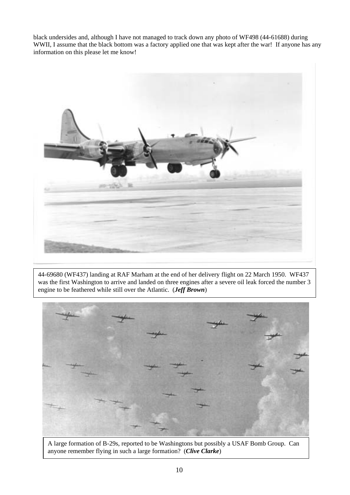black undersides and, although I have not managed to track down any photo of WF498 (44-61688) during WWII, I assume that the black bottom was a factory applied one that was kept after the war! If anyone has any information on this please let me know!



44-69680 (WF437) landing at RAF Marham at the end of her delivery flight on 22 March 1950. WF437 was the first Washington to arrive and landed on three engines after a severe oil leak forced the number 3 engine to be feathered while still over the Atlantic. (*Jeff Brown*)



A large formation of B-29s, reported to be Washingtons but possibly a USAF Bomb Group. Can anyone remember flying in such a large formation? (*Clive Clarke*)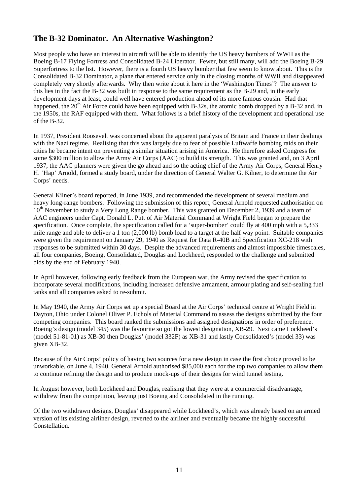# **The B-32 Dominator. An Alternative Washington?**

Most people who have an interest in aircraft will be able to identify the US heavy bombers of WWII as the Boeing B-17 Flying Fortress and Consolidated B-24 Liberator. Fewer, but still many, will add the Boeing B-29 Superfortress to the list. However, there is a fourth US heavy bomber that few seem to know about. This is the Consolidated B-32 Dominator, a plane that entered service only in the closing months of WWII and disappeared completely very shortly afterwards. Why then write about it here in the 'Washington Times'? The answer to this lies in the fact the B-32 was built in response to the same requirement as the B-29 and, in the early development days at least, could well have entered production ahead of its more famous cousin. Had that happened, the  $20<sup>th</sup>$  Air Force could have been equipped with B-32s, the atomic bomb dropped by a B-32 and, in the 1950s, the RAF equipped with them. What follows is a brief history of the development and operational use of the B-32.

In 1937, President Roosevelt was concerned about the apparent paralysis of Britain and France in their dealings with the Nazi regime. Realising that this was largely due to fear of possible Luftwaffe bombing raids on their cities he became intent on preventing a similar situation arising in America. He therefore asked Congress for some \$300 million to allow the Army Air Corps (AAC) to build its strength. This was granted and, on 3 April 1937, the AAC planners were given the go ahead and so the acting chief of the Army Air Corps, General Henry H. 'Hap' Arnold, formed a study board, under the direction of General Walter G. Kilner, to determine the Air Corps' needs.

General Kilner's board reported, in June 1939, and recommended the development of several medium and heavy long-range bombers. Following the submission of this report, General Arnold requested authorisation on 10<sup>th</sup> November to study a Very Long Range bomber. This was granted on December 2, 1939 and a team of AAC engineers under Capt. Donald L. Putt of Air Material Command at Wright Field began to prepare the specification. Once complete, the specification called for a 'super-bomber' could fly at 400 mph with a 5,333 mile range and able to deliver a 1 ton (2,000 lb) bomb load to a target at the half way point. Suitable companies were given the requirement on January 29, 1940 as Request for Data R-40B and Specification XC-218 with responses to be submitted within 30 days. Despite the advanced requirements and almost impossible timescales, all four companies, Boeing, Consolidated, Douglas and Lockheed, responded to the challenge and submitted bids by the end of February 1940.

In April however, following early feedback from the European war, the Army revised the specification to incorporate several modifications, including increased defensive armament, armour plating and self-sealing fuel tanks and all companies asked to re-submit.

In May 1940, the Army Air Corps set up a special Board at the Air Corps' technical centre at Wright Field in Dayton, Ohio under Colonel Oliver P. Echols of Material Command to assess the designs submitted by the four competing companies. This board ranked the submissions and assigned designations in order of preference. Boeing's design (model 345) was the favourite so got the lowest designation, XB-29. Next came Lockheed's (model 51-81-01) as XB-30 then Douglas' (model 332F) as XB-31 and lastly Consolidated's (model 33) was given XB-32.

Because of the Air Corps' policy of having two sources for a new design in case the first choice proved to be unworkable, on June 4, 1940, General Arnold authorised \$85,000 each for the top two companies to allow them to continue refining the design and to produce mock-ups of their designs for wind tunnel testing.

In August however, both Lockheed and Douglas, realising that they were at a commercial disadvantage, withdrew from the competition, leaving just Boeing and Consolidated in the running.

Of the two withdrawn designs, Douglas' disappeared while Lockheed's, which was already based on an armed version of its existing airliner design, reverted to the airliner and eventually became the highly successful Constellation.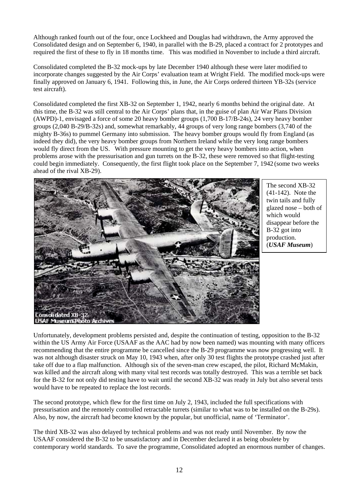Although ranked fourth out of the four, once Lockheed and Douglas had withdrawn, the Army approved the Consolidated design and on September 6, 1940, in parallel with the B-29, placed a contract for 2 prototypes and required the first of these to fly in 18 months time. This was modified in November to include a third aircraft.

Consolidated completed the B-32 mock-ups by late December 1940 although these were later modified to incorporate changes suggested by the Air Corps' evaluation team at Wright Field. The modified mock-ups were finally approved on January 6, 1941. Following this, in June, the Air Corps ordered thirteen YB-32s (service test aircraft).

Consolidated completed the first XB-32 on September 1, 1942, nearly 6 months behind the original date. At this time, the B-32 was still central to the Air Corps' plans that, in the guise of plan Air War Plans Division (AWPD)-1, envisaged a force of some 20 heavy bomber groups (1,700 B-17/B-24s), 24 very heavy bomber groups (2,040 B-29/B-32s) and, somewhat remarkably, 44 groups of very long range bombers (3,740 of the mighty B-36s) to pummel Germany into submission. The heavy bomber groups would fly from England (as indeed they did), the very heavy bomber groups from Northern Ireland while the very long range bombers would fly direct from the US. With pressure mounting to get the very heavy bombers into action, when problems arose with the pressurisation and gun turrets on the B-32, these were removed so that flight-testing could begin immediately. Consequently, the first flight took place on the September 7, 1942 (some two weeks ahead of the rival XB-29).



The second XB-32 (41-142). Note the twin tails and fully glazed nose – both of which would disappear before the B-32 got into production. (*USAF Museum*)

Unfortunately, development problems persisted and, despite the continuation of testing, opposition to the B-32 within the US Army Air Force (USAAF as the AAC had by now been named) was mounting with many officers recommending that the entire programme be cancelled since the B-29 programme was now progressing well. It was not although disaster struck on May 10, 1943 when, after only 30 test flights the prototype crashed just after take off due to a flap malfunction. Although six of the seven-man crew escaped, the pilot, Richard McMakin, was killed and the aircraft along with many vital test records was totally destroyed. This was a terrible set back for the B-32 for not only did testing have to wait until the second XB-32 was ready in July but also several tests would have to be repeated to replace the lost records.

The second prototype, which flew for the first time on July 2, 1943, included the full specifications with pressurisation and the remotely controlled retractable turrets (similar to what was to be installed on the B-29s). Also, by now, the aircraft had become known by the popular, but unofficial, name of 'Terminator'.

The third XB-32 was also delayed by technical problems and was not ready until November. By now the USAAF considered the B-32 to be unsatisfactory and in December declared it as being obsolete by contemporary world standards. To save the programme, Consolidated adopted an enormous number of changes.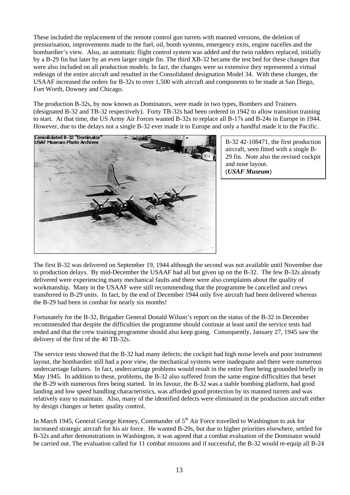These included the replacement of the remote control gun turrets with manned versions, the deletion of pressurisation, improvements made to the fuel, oil, bomb systems, emergency exits, engine nacelles and the bombardier's view. Also, an automatic flight control system was added and the twin rudders replaced, initially by a B-29 fin but later by an even larger single fin. The third XB-32 became the test bed for these changes that were also included on all production models. In fact, the changes were so extensive they represented a virtual redesign of the entire aircraft and resulted in the Consolidated designation Model 34. With these changes, the USAAF increased the orders for B-32s to over 1,500 with aircraft and components to be made at San Diego, Fort Worth, Downey and Chicago.

The production B-32s, by now known as Dominators, were made in two types, Bombers and Trainers (designated B-32 and TB-32 respectively). Forty TB-32s had been ordered in 1942 to allow transition training to start. At that time, the US Army Air Forces wanted B-32s to replace all B-17s and B-24s in Europe in 1944. However, due to the delays not a single B-32 ever made it to Europe and only a handful made it to the Pacific.



B-32 42-108471, the first production aircraft, seen fitted with a single B-29 fin. Note also the revised cockpit and nose layout. (*USAF Museum*)

The first B-32 was delivered on September 19, 1944 although the second was not available until November due to production delays. By mid-December the USAAF had all but given up on the B-32. The few B-32s already delivered were experiencing many mechanical faults and there were also complaints about the quality of workmanship. Many in the USAAF were still recommending that the programme be cancelled and crews transferred to B-29 units. In fact, by the end of December 1944 only five aircraft had been delivered whereas the B-29 had been in combat for nearly six months!

Fortunately for the B-32, Brigadier General Donald Wilson's report on the status of the B-32 in December recommended that despite the difficulties the programme should continue at least until the service tests had ended and that the crew training programme should also keep going. Consequently, January 27, 1945 saw the delivery of the first of the 40 TB-32s.

The service tests showed that the B-32 had many defects; the cockpit had high noise levels and poor instrument layout, the bombardier still had a poor view, the mechanical systems were inadequate and there were numerous undercarriage failures. In fact, undercarriage problems would result in the entire fleet being grounded briefly in May 1945. In addition to these, problems, the B-32 also suffered from the same engine difficulties that beset the B-29 with numerous fires being started. In its favour, the B-32 was a stable bombing platform, had good landing and low speed handling characteristics, was afforded good protection by its manned turrets and was relatively easy to maintain. Also, many of the identified defects were eliminated in the production aircraft either by design changes or better quality control.

In March 1945, General George Kenney, Commander of 5<sup>th</sup> Air Force travelled to Washington to ask for increased strategic aircraft for his air force. He wanted B-29s, but due to higher priorities elsewhere, settled for B-32s and after demonstrations in Washington, it was agreed that a combat evaluation of the Dominator would be carried out. The evaluation called for 11 combat missions and if successful, the B-32 would re-equip all B-24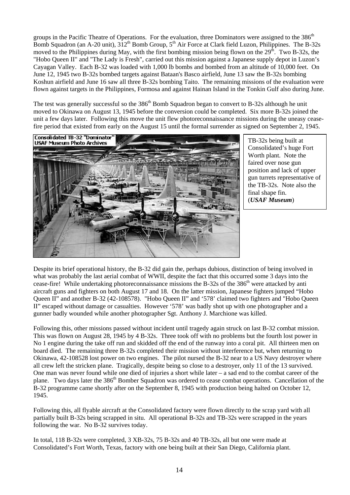groups in the Pacific Theatre of Operations. For the evaluation, three Dominators were assigned to the 386<sup>th</sup> Bomb Squadron (an A-20 unit),  $312^{th}$  Bomb Group,  $5^{th}$  Air Force at Clark field Luzon, Philippines. The B-32s moved to the Philippines during May, with the first bombing mission being flown on the  $29<sup>th</sup>$ . Two B-32s, the "Hobo Queen II" and "The Lady is Fresh", carried out this mission against a Japanese supply depot in Luzon's Cayagan Valley. Each B-32 was loaded with 1,000 lb bombs and bombed from an altitude of 10,000 feet. On June 12, 1945 two B-32s bombed targets against Bataan's Basco airfield, June 13 saw the B-32s bombing Koshun airfield and June 16 saw all three B-32s bombing Taito. The remaining missions of the evaluation were flown against targets in the Philippines, Formosa and against Hainan Island in the Tonkin Gulf also during June.

The test was generally successful so the 386<sup>th</sup> Bomb Squadron began to convert to B-32s although he unit moved to Okinawa on August 13, 1945 before the conversion could be completed. Six more B-32s joined the unit a few days later. Following this move the unit flew photoreconnaissance missions during the uneasy ceasefire period that existed from early on the August 15 until the formal surrender as signed on September 2, 1945.



TB-32s being built at Consolidated's huge Fort Worth plant. Note the faired over nose gun position and lack of upper gun turrets representative of the TB-32s. Note also the final shape fin. (*USAF Museum*)

Despite its brief operational history, the B-32 did gain the, perhaps dubious, distinction of being involved in what was probably the last aerial combat of WWII, despite the fact that this occurred some 3 days into the cease-fire! While undertaking photoreconnaissance missions the B-32s of the 386<sup>th</sup> were attacked by anti aircraft guns and fighters on both August 17 and 18. On the latter mission, Japanese fighters jumped "Hobo Queen II" and another B-32 (42-108578). "Hobo Queen II" and '578' claimed two fighters and "Hobo Queen II" escaped without damage or casualties. However '578' was badly shot up with one photographer and a gunner badly wounded while another photographer Sgt. Anthony J. Marchione was killed.

Following this, other missions passed without incident until tragedy again struck on last B-32 combat mission. This was flown on August 28, 1945 by 4 B-32s. Three took off with no problems but the fourth lost power in No 1 engine during the take off run and skidded off the end of the runway into a coral pit. All thirteen men on board died. The remaining three B-32s completed their mission without interference but, when returning to Okinawa, 42-108528 lost power on two engines. The pilot nursed the B-32 near to a US Navy destroyer where all crew left the stricken plane. Tragically, despite being so close to a destroyer, only 11 of the 13 survived. One man was never found while one died of injuries a short while later – a sad end to the combat career of the plane. Two days later the 386<sup>th</sup> Bomber Squadron was ordered to cease combat operations. Cancellation of the B-32 programme came shortly after on the September 8, 1945 with production being halted on October 12, 1945.

Following this, all flyable aircraft at the Consolidated factory were flown directly to the scrap yard with all partially built B-32s being scrapped in situ. All operational B-32s and TB-32s were scrapped in the years following the war. No B-32 survives today.

In total, 118 B-32s were completed, 3 XB-32s, 75 B-32s and 40 TB-32s, all but one were made at Consolidated's Fort Worth, Texas, factory with one being built at their San Diego, California plant.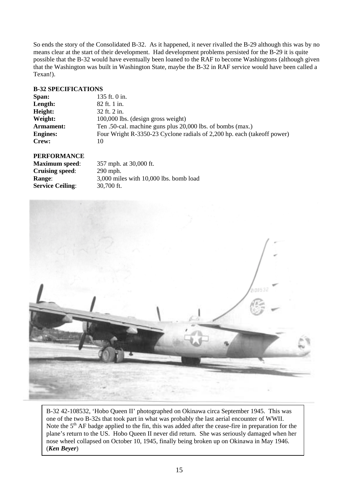So ends the story of the Consolidated B-32. As it happened, it never rivalled the B-29 although this was by no means clear at the start of their development. Had development problems persisted for the B-29 it is quite possible that the B-32 would have eventually been loaned to the RAF to become Washingtons (although given that the Washington was built in Washington State, maybe the B-32 in RAF service would have been called a Texan!).

## **B-32 SPECIFICATIONS**

| Span:           | 135 ft. $0$ in.                                                         |
|-----------------|-------------------------------------------------------------------------|
| Length:         | 82 ft. 1 in.                                                            |
| Height:         | 32 ft. 2 in.                                                            |
| Weight:         | 100,000 lbs. (design gross weight)                                      |
| Armament:       | Ten .50-cal. machine guns plus 20,000 lbs. of bombs (max.)              |
| <b>Engines:</b> | Four Wright R-3350-23 Cyclone radials of 2,200 hp. each (take of power) |
| Crew:           | 10                                                                      |
|                 |                                                                         |

## **PERFORMANCE**

| <b>Maximum</b> speed:   | 357 mph. at 30,000 ft.                     |
|-------------------------|--------------------------------------------|
| <b>Cruising speed:</b>  | $290$ mph.                                 |
| <b>Range:</b>           | $3,000$ miles with $10,000$ lbs. bomb load |
| <b>Service Ceiling:</b> | 30.700 ft.                                 |



B-32 42-108532, 'Hobo Queen II' photographed on Okinawa circa September 1945. This was one of the two B-32s that took part in what was probably the last aerial encounter of WWII. Note the 5<sup>th</sup> AF badge applied to the fin, this was added after the cease-fire in preparation for the plane's return to the US. Hobo Queen II never did return. She was seriously damaged when her nose wheel collapsed on October 10, 1945, finally being broken up on Okinawa in May 1946. (*Ken Beyer*)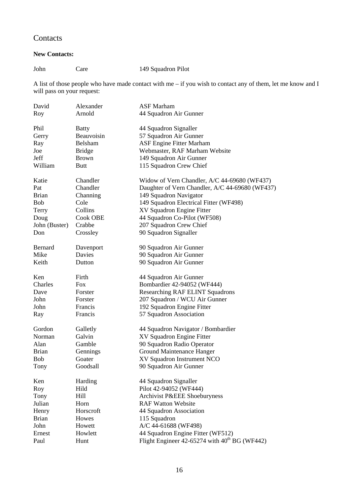# **Contacts**

## **New Contacts:**

John Care 149 Squadron Pilot

A list of those people who have made contact with me – if you wish to contact any of them, let me know and I will pass on your request:

| David         | Alexander      | <b>ASF</b> Marham                                    |
|---------------|----------------|------------------------------------------------------|
| Roy           | Arnold         | 44 Squadron Air Gunner                               |
|               |                |                                                      |
| Phil          | <b>Batty</b>   | 44 Squadron Signaller                                |
| Gerry         | Beauvoisin     | 57 Squadron Air Gunner                               |
| Ray           | <b>Belsham</b> | <b>ASF Engine Fitter Marham</b>                      |
| Joe           | <b>Bridge</b>  | Webmaster, RAF Marham Website                        |
| Jeff          | <b>Brown</b>   | 149 Squadron Air Gunner                              |
| William       | <b>Butt</b>    | 115 Squadron Crew Chief                              |
| Katie         | Chandler       | Widow of Vern Chandler, A/C 44-69680 (WF437)         |
| Pat           | Chandler       | Daughter of Vern Chandler, A/C 44-69680 (WF437)      |
| <b>Brian</b>  | Channing       | 149 Squadron Navigator                               |
| <b>Bob</b>    | Cole           | 149 Squadron Electrical Fitter (WF498)               |
| Terry         | Collins        | XV Squadron Engine Fitter                            |
| Doug          | Cook OBE       | 44 Squadron Co-Pilot (WF508)                         |
| John (Buster) | Crabbe         | 207 Squadron Crew Chief                              |
| Don           | Crossley       | 90 Squadron Signaller                                |
|               |                |                                                      |
| Bernard       | Davenport      | 90 Squadron Air Gunner                               |
| Mike          | Davies         | 90 Squadron Air Gunner                               |
| Keith         | Dutton         | 90 Squadron Air Gunner                               |
| Ken           | Firth          | 44 Squadron Air Gunner                               |
| Charles       | <b>Fox</b>     | Bombardier 42-94052 (WF444)                          |
| Dave          | Forster        | <b>Researching RAF ELINT Squadrons</b>               |
| John          | Forster        | 207 Squadron / WCU Air Gunner                        |
| John          | Francis        | 192 Squadron Engine Fitter                           |
|               | Francis        |                                                      |
| Ray           |                | 57 Squadron Association                              |
| Gordon        | Galletly       | 44 Squadron Navigator / Bombardier                   |
| Norman        | Galvin         | XV Squadron Engine Fitter                            |
| Alan          | Gamble         | 90 Squadron Radio Operator                           |
| <b>Brian</b>  | Gennings       | Ground Maintenance Hanger                            |
| <b>Bob</b>    | Goater         | XV Squadron Instrument NCO                           |
| Tony          | Goodsall       | 90 Squadron Air Gunner                               |
| Ken           | Harding        | 44 Squadron Signaller                                |
| Roy           | Hild           | Pilot 42-94052 (WF444)                               |
| Tony          | Hill           | Archivist P&EEE Shoeburyness                         |
| Julian        | Horn           | <b>RAF Watton Website</b>                            |
| Henry         | Horscroft      | 44 Squadron Association                              |
| <b>Brian</b>  | Howes          | 115 Squadron                                         |
| John          | Howett         | A/C 44-61688 (WF498)                                 |
| Ernest        | Howlett        | 44 Squadron Engine Fitter (WF512)                    |
| Paul          | Hunt           | Flight Engineer $42-65274$ with $40^{th}$ BG (WF442) |
|               |                |                                                      |